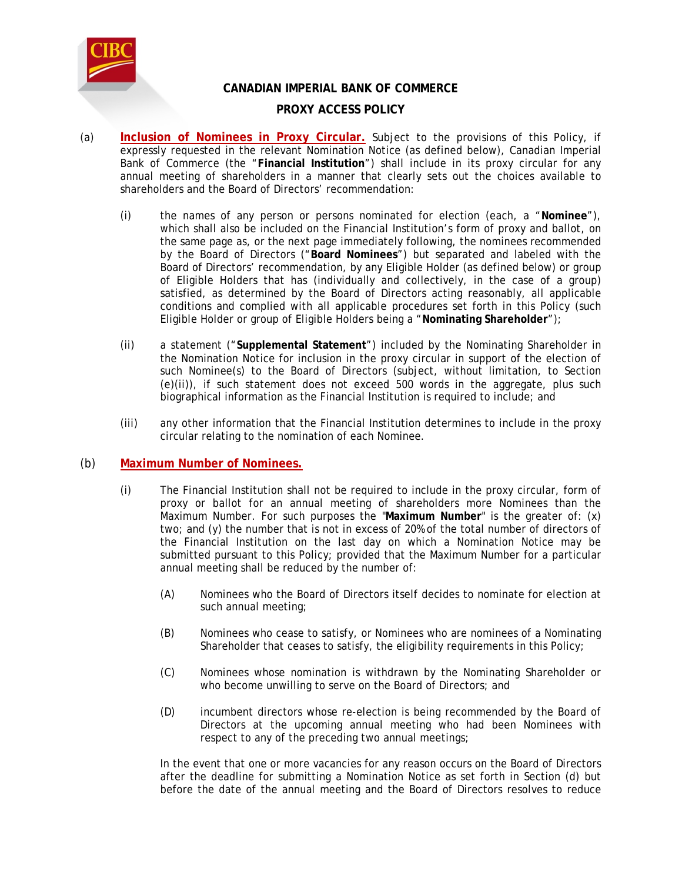

# **CANADIAN IMPERIAL BANK OF COMMERCE**

# **PROXY ACCESS POLICY**

- (a) **Inclusion of Nominees in Proxy Circular.** Subject to the provisions of this Policy, if expressly requested in the relevant Nomination Notice (as defined below), Canadian Imperial Bank of Commerce (the "**Financial Institution**") shall include in its proxy circular for any annual meeting of shareholders in a manner that clearly sets out the choices available to shareholders and the Board of Directors' recommendation:
	- (i) the names of any person or persons nominated for election (each, a "**Nominee**"), which shall also be included on the Financial Institution's form of proxy and ballot, on the same page as, or the next page immediately following, the nominees recommended by the Board of Directors ("**Board Nominees**") but separated and labeled with the Board of Directors' recommendation, by any Eligible Holder (as defined below) or group of Eligible Holders that has (individually and collectively, in the case of a group) satisfied, as determined by the Board of Directors acting reasonably, all applicable conditions and complied with all applicable procedures set forth in this Policy (such Eligible Holder or group of Eligible Holders being a "**Nominating Shareholder**");
	- (ii) a statement ("**Supplemental Statement**") included by the Nominating Shareholder in the Nomination Notice for inclusion in the proxy circular in support of the election of such Nominee(s) to the Board of Directors (subject, without limitation, to Section (e)(ii)), if such statement does not exceed 500 words in the aggregate, plus such biographical information as the Financial Institution is required to include; and
	- (iii) any other information that the Financial Institution determines to include in the proxy circular relating to the nomination of each Nominee.

### (b) **Maximum Number of Nominees.**

- (i) The Financial Institution shall not be required to include in the proxy circular, form of proxy or ballot for an annual meeting of shareholders more Nominees than the Maximum Number. For such purposes the "**Maximum Number**" is the greater of: (x) two; and (y) the number that is not in excess of 20% of the total number of directors of the Financial Institution on the last day on which a Nomination Notice may be submitted pursuant to this Policy; provided that the Maximum Number for a particular annual meeting shall be reduced by the number of:
	- (A) Nominees who the Board of Directors itself decides to nominate for election at such annual meeting;
	- (B) Nominees who cease to satisfy, or Nominees who are nominees of a Nominating Shareholder that ceases to satisfy, the eligibility requirements in this Policy;
	- (C) Nominees whose nomination is withdrawn by the Nominating Shareholder or who become unwilling to serve on the Board of Directors; and
	- (D) incumbent directors whose re-election is being recommended by the Board of Directors at the upcoming annual meeting who had been Nominees with respect to any of the preceding two annual meetings;

In the event that one or more vacancies for any reason occurs on the Board of Directors after the deadline for submitting a Nomination Notice as set forth in Section (d) but before the date of the annual meeting and the Board of Directors resolves to reduce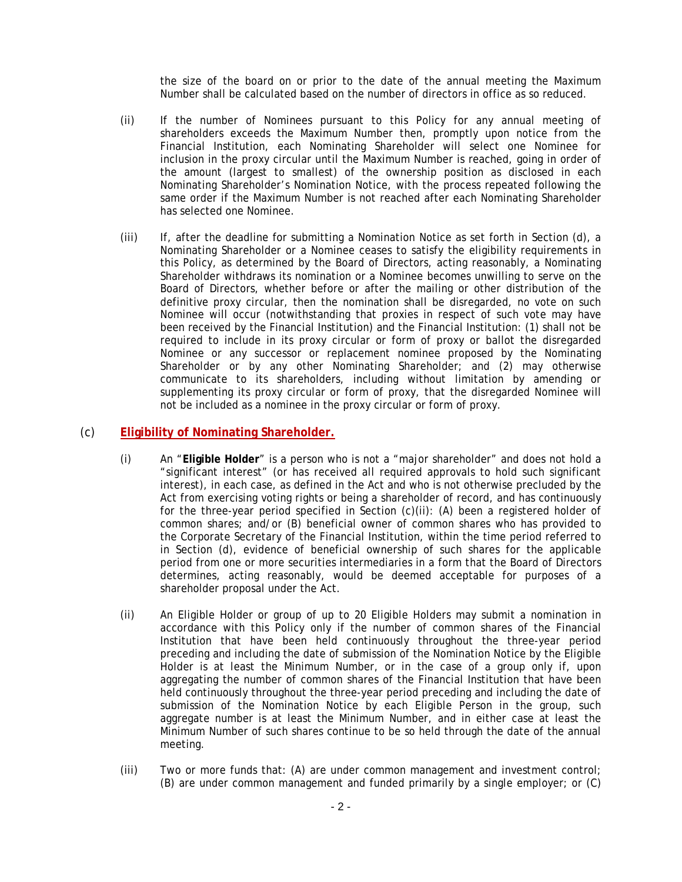the size of the board on or prior to the date of the annual meeting the Maximum Number shall be calculated based on the number of directors in office as so reduced.

- (ii) If the number of Nominees pursuant to this Policy for any annual meeting of shareholders exceeds the Maximum Number then, promptly upon notice from the Financial Institution, each Nominating Shareholder will select one Nominee for inclusion in the proxy circular until the Maximum Number is reached, going in order of the amount (largest to smallest) of the ownership position as disclosed in each Nominating Shareholder's Nomination Notice, with the process repeated following the same order if the Maximum Number is not reached after each Nominating Shareholder has selected one Nominee.
- (iii) If, after the deadline for submitting a Nomination Notice as set forth in Section (d), a Nominating Shareholder or a Nominee ceases to satisfy the eligibility requirements in this Policy, as determined by the Board of Directors, acting reasonably, a Nominating Shareholder withdraws its nomination or a Nominee becomes unwilling to serve on the Board of Directors, whether before or after the mailing or other distribution of the definitive proxy circular, then the nomination shall be disregarded, no vote on such Nominee will occur (notwithstanding that proxies in respect of such vote may have been received by the Financial Institution) and the Financial Institution: (1) shall not be required to include in its proxy circular or form of proxy or ballot the disregarded Nominee or any successor or replacement nominee proposed by the Nominating Shareholder or by any other Nominating Shareholder; and (2) may otherwise communicate to its shareholders, including without limitation by amending or supplementing its proxy circular or form of proxy, that the disregarded Nominee will not be included as a nominee in the proxy circular or form of proxy.

#### (c) **Eligibility of Nominating Shareholder.**

- (i) An "**Eligible Holder**" is a person who is not a "major shareholder" and does not hold a "significant interest" (or has received all required approvals to hold such significant interest), in each case, as defined in the Act and who is not otherwise precluded by the Act from exercising voting rights or being a shareholder of record, and has continuously for the three-year period specified in Section (c)(ii): (A) been a registered holder of common shares; and/or (B) beneficial owner of common shares who has provided to the Corporate Secretary of the Financial Institution, within the time period referred to in Section (d), evidence of beneficial ownership of such shares for the applicable period from one or more securities intermediaries in a form that the Board of Directors determines, acting reasonably, would be deemed acceptable for purposes of a shareholder proposal under the Act.
- (ii) An Eligible Holder or group of up to 20 Eligible Holders may submit a nomination in accordance with this Policy only if the number of common shares of the Financial Institution that have been held continuously throughout the three-year period preceding and including the date of submission of the Nomination Notice by the Eligible Holder is at least the Minimum Number, or in the case of a group only if, upon aggregating the number of common shares of the Financial Institution that have been held continuously throughout the three-year period preceding and including the date of submission of the Nomination Notice by each Eligible Person in the group, such aggregate number is at least the Minimum Number, and in either case at least the Minimum Number of such shares continue to be so held through the date of the annual meeting.
- (iii) Two or more funds that: (A) are under common management and investment control; (B) are under common management and funded primarily by a single employer; or (C)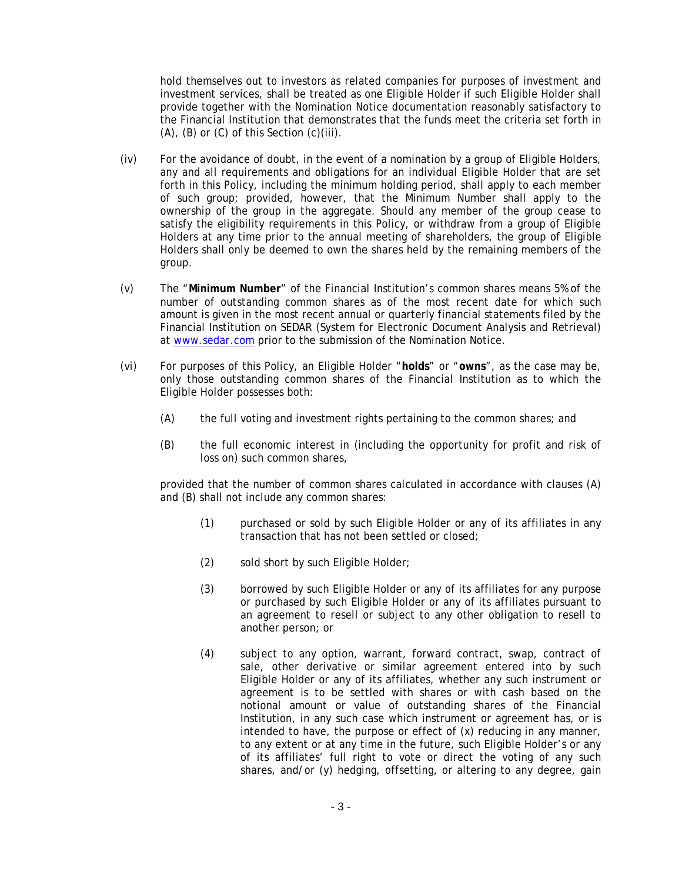hold themselves out to investors as related companies for purposes of investment and investment services, shall be treated as one Eligible Holder if such Eligible Holder shall provide together with the Nomination Notice documentation reasonably satisfactory to the Financial Institution that demonstrates that the funds meet the criteria set forth in  $(A)$ ,  $(B)$  or  $(C)$  of this Section  $(c)(iii)$ .

- (iv) For the avoidance of doubt, in the event of a nomination by a group of Eligible Holders, any and all requirements and obligations for an individual Eligible Holder that are set forth in this Policy, including the minimum holding period, shall apply to each member of such group; provided, however, that the Minimum Number shall apply to the ownership of the group in the aggregate. Should any member of the group cease to satisfy the eligibility requirements in this Policy, or withdraw from a group of Eligible Holders at any time prior to the annual meeting of shareholders, the group of Eligible Holders shall only be deemed to own the shares held by the remaining members of the group.
- (v) The "**Minimum Number**" of the Financial Institution's common shares means 5% of the number of outstanding common shares as of the most recent date for which such amount is given in the most recent annual or quarterly financial statements filed by the Financial Institution on SEDAR (System for Electronic Document Analysis and Retrieval) at www.sedar.com prior to the submission of the Nomination Notice.
- (vi) For purposes of this Policy, an Eligible Holder "**holds**" or "**owns**", as the case may be, only those outstanding common shares of the Financial Institution as to which the Eligible Holder possesses both:
	- (A) the full voting and investment rights pertaining to the common shares; and
	- (B) the full economic interest in (including the opportunity for profit and risk of loss on) such common shares,

provided that the number of common shares calculated in accordance with clauses (A) and (B) shall not include any common shares:

- (1) purchased or sold by such Eligible Holder or any of its affiliates in any transaction that has not been settled or closed;
- (2) sold short by such Eligible Holder;
- (3) borrowed by such Eligible Holder or any of its affiliates for any purpose or purchased by such Eligible Holder or any of its affiliates pursuant to an agreement to resell or subject to any other obligation to resell to another person; or
- (4) subject to any option, warrant, forward contract, swap, contract of sale, other derivative or similar agreement entered into by such Eligible Holder or any of its affiliates, whether any such instrument or agreement is to be settled with shares or with cash based on the notional amount or value of outstanding shares of the Financial Institution, in any such case which instrument or agreement has, or is intended to have, the purpose or effect of (x) reducing in any manner, to any extent or at any time in the future, such Eligible Holder's or any of its affiliates' full right to vote or direct the voting of any such shares, and/or (y) hedging, offsetting, or altering to any degree, gain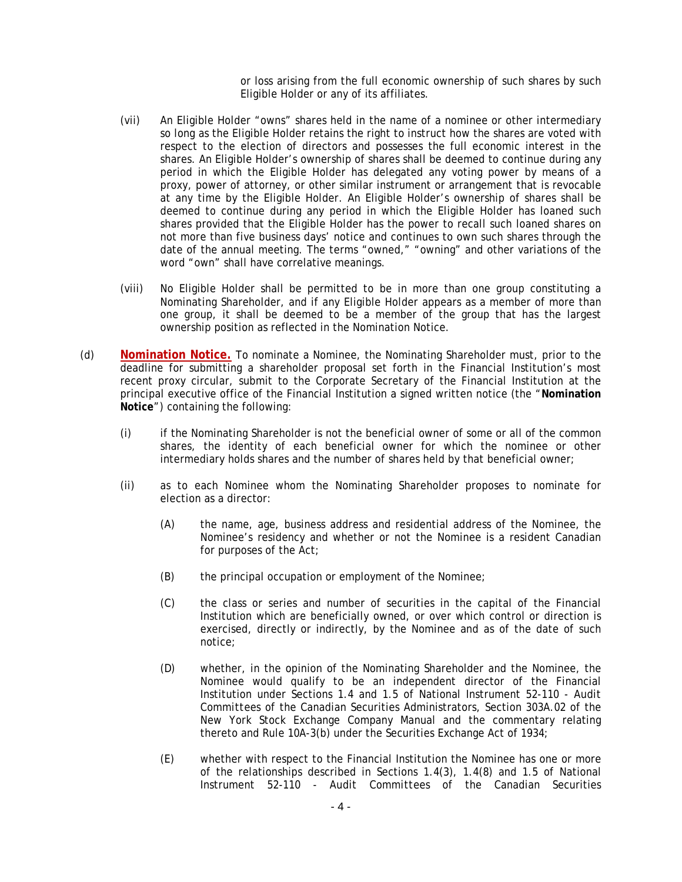or loss arising from the full economic ownership of such shares by such Eligible Holder or any of its affiliates.

- (vii) An Eligible Holder "owns" shares held in the name of a nominee or other intermediary so long as the Eligible Holder retains the right to instruct how the shares are voted with respect to the election of directors and possesses the full economic interest in the shares. An Eligible Holder's ownership of shares shall be deemed to continue during any period in which the Eligible Holder has delegated any voting power by means of a proxy, power of attorney, or other similar instrument or arrangement that is revocable at any time by the Eligible Holder. An Eligible Holder's ownership of shares shall be deemed to continue during any period in which the Eligible Holder has loaned such shares provided that the Eligible Holder has the power to recall such loaned shares on not more than five business days' notice and continues to own such shares through the date of the annual meeting. The terms "owned," "owning" and other variations of the word "own" shall have correlative meanings.
- (viii) No Eligible Holder shall be permitted to be in more than one group constituting a Nominating Shareholder, and if any Eligible Holder appears as a member of more than one group, it shall be deemed to be a member of the group that has the largest ownership position as reflected in the Nomination Notice.
- (d) **Nomination Notice.** To nominate a Nominee, the Nominating Shareholder must, prior to the deadline for submitting a shareholder proposal set forth in the Financial Institution's most recent proxy circular, submit to the Corporate Secretary of the Financial Institution at the principal executive office of the Financial Institution a signed written notice (the "**Nomination Notice**") containing the following:
	- (i) if the Nominating Shareholder is not the beneficial owner of some or all of the common shares, the identity of each beneficial owner for which the nominee or other intermediary holds shares and the number of shares held by that beneficial owner;
	- (ii) as to each Nominee whom the Nominating Shareholder proposes to nominate for election as a director:
		- (A) the name, age, business address and residential address of the Nominee, the Nominee's residency and whether or not the Nominee is a resident Canadian for purposes of the Act;
		- (B) the principal occupation or employment of the Nominee;
		- (C) the class or series and number of securities in the capital of the Financial Institution which are beneficially owned, or over which control or direction is exercised, directly or indirectly, by the Nominee and as of the date of such notice;
		- (D) whether, in the opinion of the Nominating Shareholder and the Nominee, the Nominee would qualify to be an independent director of the Financial Institution under Sections 1.4 and 1.5 of National Instrument 52-110 - *Audit Committees* of the Canadian Securities Administrators, Section 303A.02 of the New York Stock Exchange Company Manual and the commentary relating thereto and Rule 10A-3(b) under the Securities Exchange Act of 1934;
		- (E) whether with respect to the Financial Institution the Nominee has one or more of the relationships described in Sections 1.4(3), 1.4(8) and 1.5 of National Instrument 52-110 - *Audit Committees* of the Canadian Securities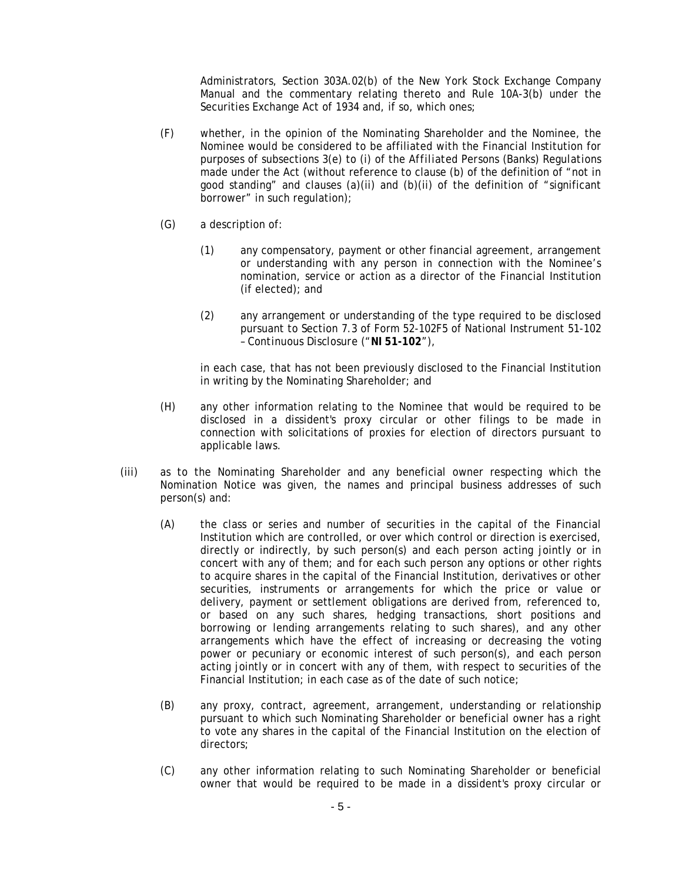Administrators, Section 303A.02(b) of the New York Stock Exchange Company Manual and the commentary relating thereto and Rule 10A-3(b) under the Securities Exchange Act of 1934 and, if so, which ones;

- (F) whether, in the opinion of the Nominating Shareholder and the Nominee, the Nominee would be considered to be affiliated with the Financial Institution for purposes of subsections 3(e) to (i) of the *Affiliated Persons (Banks) Regulations* made under the Act (without reference to clause (b) of the definition of "not in good standing" and clauses  $(a)(ii)$  and  $(b)(ii)$  of the definition of "significant" borrower" in such regulation);
- (G) a description of:
	- (1) any compensatory, payment or other financial agreement, arrangement or understanding with any person in connection with the Nominee's nomination, service or action as a director of the Financial Institution (if elected); and
	- (2) any arrangement or understanding of the type required to be disclosed pursuant to Section 7.3 of Form 52-102F5 of National Instrument 51-102 – *Continuous Disclosure* ("**NI 51-102**"),

in each case, that has not been previously disclosed to the Financial Institution in writing by the Nominating Shareholder; and

- (H) any other information relating to the Nominee that would be required to be disclosed in a dissident's proxy circular or other filings to be made in connection with solicitations of proxies for election of directors pursuant to applicable laws.
- (iii) as to the Nominating Shareholder and any beneficial owner respecting which the Nomination Notice was given, the names and principal business addresses of such person(s) and:
	- (A) the class or series and number of securities in the capital of the Financial Institution which are controlled, or over which control or direction is exercised, directly or indirectly, by such person(s) and each person acting jointly or in concert with any of them; and for each such person any options or other rights to acquire shares in the capital of the Financial Institution, derivatives or other securities, instruments or arrangements for which the price or value or delivery, payment or settlement obligations are derived from, referenced to, or based on any such shares, hedging transactions, short positions and borrowing or lending arrangements relating to such shares), and any other arrangements which have the effect of increasing or decreasing the voting power or pecuniary or economic interest of such person(s), and each person acting jointly or in concert with any of them, with respect to securities of the Financial Institution; in each case as of the date of such notice;
	- (B) any proxy, contract, agreement, arrangement, understanding or relationship pursuant to which such Nominating Shareholder or beneficial owner has a right to vote any shares in the capital of the Financial Institution on the election of directors;
	- (C) any other information relating to such Nominating Shareholder or beneficial owner that would be required to be made in a dissident's proxy circular or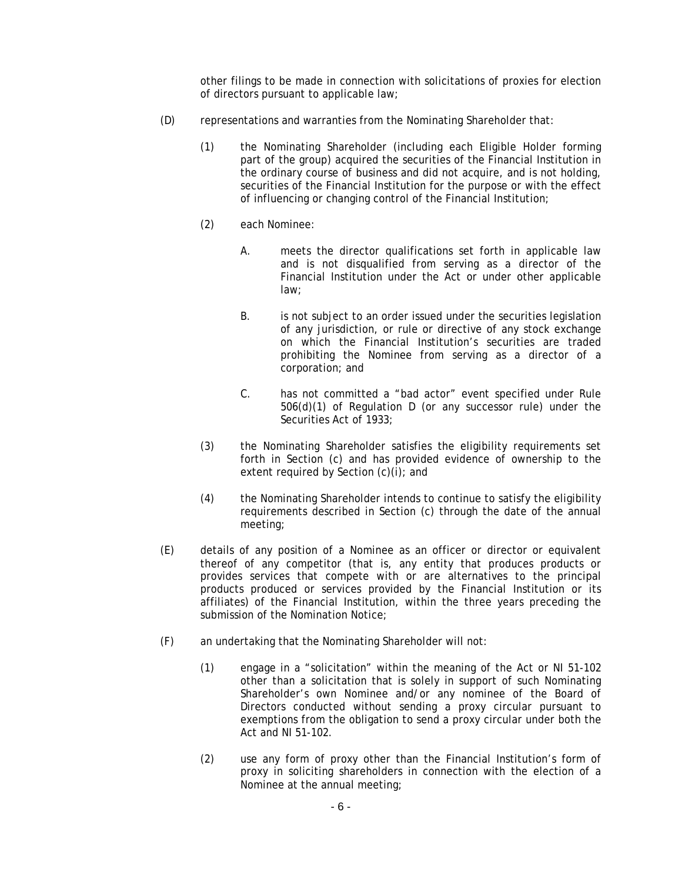other filings to be made in connection with solicitations of proxies for election of directors pursuant to applicable law;

- (D) representations and warranties from the Nominating Shareholder that:
	- (1) the Nominating Shareholder (including each Eligible Holder forming part of the group) acquired the securities of the Financial Institution in the ordinary course of business and did not acquire, and is not holding, securities of the Financial Institution for the purpose or with the effect of influencing or changing control of the Financial Institution;
	- (2) each Nominee:
		- A. meets the director qualifications set forth in applicable law and is not disqualified from serving as a director of the Financial Institution under the Act or under other applicable law;
		- B. is not subject to an order issued under the securities legislation of any jurisdiction, or rule or directive of any stock exchange on which the Financial Institution's securities are traded prohibiting the Nominee from serving as a director of a corporation; and
		- C. has not committed a "bad actor" event specified under Rule 506(d)(1) of Regulation D (or any successor rule) under the Securities Act of 1933;
	- (3) the Nominating Shareholder satisfies the eligibility requirements set forth in Section (c) and has provided evidence of ownership to the extent required by Section (c)(i); and
	- (4) the Nominating Shareholder intends to continue to satisfy the eligibility requirements described in Section (c) through the date of the annual meeting;
- (E) details of any position of a Nominee as an officer or director or equivalent thereof of any competitor (that is, any entity that produces products or provides services that compete with or are alternatives to the principal products produced or services provided by the Financial Institution or its affiliates) of the Financial Institution, within the three years preceding the submission of the Nomination Notice;
- (F) an undertaking that the Nominating Shareholder will not:
	- (1) engage in a "solicitation" within the meaning of the Act or NI 51-102 other than a solicitation that is solely in support of such Nominating Shareholder's own Nominee and/or any nominee of the Board of Directors conducted without sending a proxy circular pursuant to exemptions from the obligation to send a proxy circular under both the Act and NI 51-102.
	- (2) use any form of proxy other than the Financial Institution's form of proxy in soliciting shareholders in connection with the election of a Nominee at the annual meeting;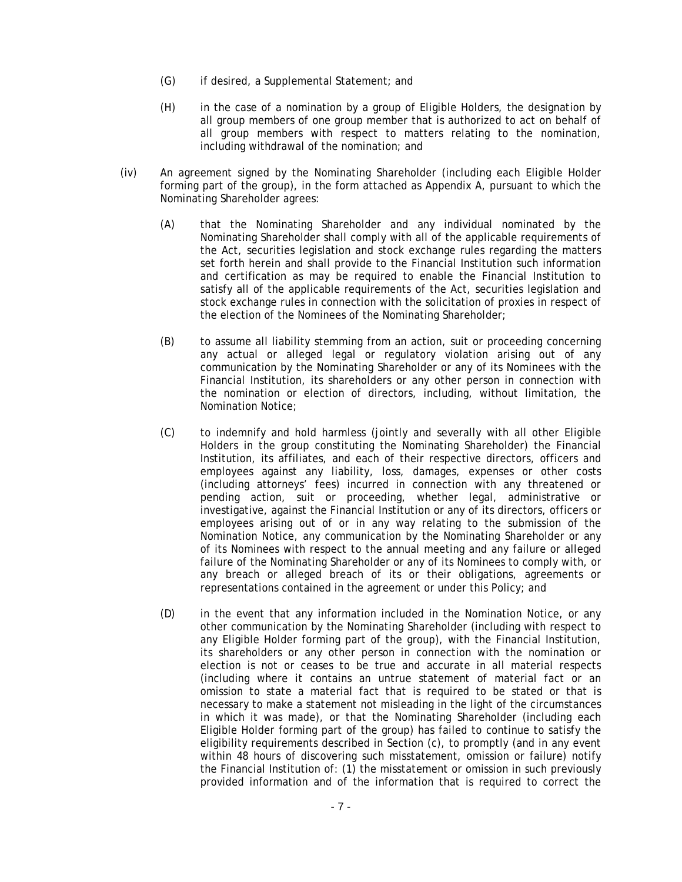- (G) if desired, a Supplemental Statement; and
- (H) in the case of a nomination by a group of Eligible Holders, the designation by all group members of one group member that is authorized to act on behalf of all group members with respect to matters relating to the nomination, including withdrawal of the nomination; and
- (iv) An agreement signed by the Nominating Shareholder (including each Eligible Holder forming part of the group), in the form attached as Appendix A, pursuant to which the Nominating Shareholder agrees:
	- (A) that the Nominating Shareholder and any individual nominated by the Nominating Shareholder shall comply with all of the applicable requirements of the Act, securities legislation and stock exchange rules regarding the matters set forth herein and shall provide to the Financial Institution such information and certification as may be required to enable the Financial Institution to satisfy all of the applicable requirements of the Act, securities legislation and stock exchange rules in connection with the solicitation of proxies in respect of the election of the Nominees of the Nominating Shareholder;
	- (B) to assume all liability stemming from an action, suit or proceeding concerning any actual or alleged legal or regulatory violation arising out of any communication by the Nominating Shareholder or any of its Nominees with the Financial Institution, its shareholders or any other person in connection with the nomination or election of directors, including, without limitation, the Nomination Notice;
	- (C) to indemnify and hold harmless (jointly and severally with all other Eligible Holders in the group constituting the Nominating Shareholder) the Financial Institution, its affiliates, and each of their respective directors, officers and employees against any liability, loss, damages, expenses or other costs (including attorneys' fees) incurred in connection with any threatened or pending action, suit or proceeding, whether legal, administrative or investigative, against the Financial Institution or any of its directors, officers or employees arising out of or in any way relating to the submission of the Nomination Notice, any communication by the Nominating Shareholder or any of its Nominees with respect to the annual meeting and any failure or alleged failure of the Nominating Shareholder or any of its Nominees to comply with, or any breach or alleged breach of its or their obligations, agreements or representations contained in the agreement or under this Policy; and
	- (D) in the event that any information included in the Nomination Notice, or any other communication by the Nominating Shareholder (including with respect to any Eligible Holder forming part of the group), with the Financial Institution, its shareholders or any other person in connection with the nomination or election is not or ceases to be true and accurate in all material respects (including where it contains an untrue statement of material fact or an omission to state a material fact that is required to be stated or that is necessary to make a statement not misleading in the light of the circumstances in which it was made), or that the Nominating Shareholder (including each Eligible Holder forming part of the group) has failed to continue to satisfy the eligibility requirements described in Section (c), to promptly (and in any event within 48 hours of discovering such misstatement, omission or failure) notify the Financial Institution of: (1) the misstatement or omission in such previously provided information and of the information that is required to correct the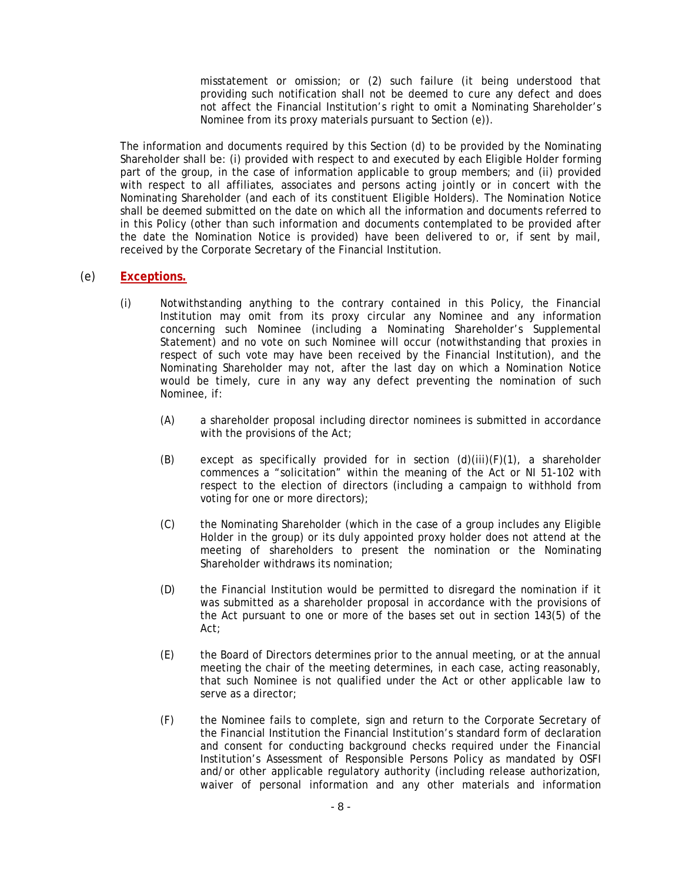misstatement or omission; or (2) such failure (it being understood that providing such notification shall not be deemed to cure any defect and does not affect the Financial Institution's right to omit a Nominating Shareholder's Nominee from its proxy materials pursuant to Section (e)).

The information and documents required by this Section (d) to be provided by the Nominating Shareholder shall be: (i) provided with respect to and executed by each Eligible Holder forming part of the group, in the case of information applicable to group members; and (ii) provided with respect to all affiliates, associates and persons acting jointly or in concert with the Nominating Shareholder (and each of its constituent Eligible Holders). The Nomination Notice shall be deemed submitted on the date on which all the information and documents referred to in this Policy (other than such information and documents contemplated to be provided after the date the Nomination Notice is provided) have been delivered to or, if sent by mail, received by the Corporate Secretary of the Financial Institution.

# (e) **Exceptions.**

- (i) Notwithstanding anything to the contrary contained in this Policy, the Financial Institution may omit from its proxy circular any Nominee and any information concerning such Nominee (including a Nominating Shareholder's Supplemental Statement) and no vote on such Nominee will occur (notwithstanding that proxies in respect of such vote may have been received by the Financial Institution), and the Nominating Shareholder may not, after the last day on which a Nomination Notice would be timely, cure in any way any defect preventing the nomination of such Nominee, if:
	- (A) a shareholder proposal including director nominees is submitted in accordance with the provisions of the Act;
	- (B) except as specifically provided for in section (d)(iii)(F)(1), a shareholder commences a "solicitation" within the meaning of the Act or NI 51-102 with respect to the election of directors (including a campaign to withhold from voting for one or more directors);
	- (C) the Nominating Shareholder (which in the case of a group includes any Eligible Holder in the group) or its duly appointed proxy holder does not attend at the meeting of shareholders to present the nomination or the Nominating Shareholder withdraws its nomination:
	- (D) the Financial Institution would be permitted to disregard the nomination if it was submitted as a shareholder proposal in accordance with the provisions of the Act pursuant to one or more of the bases set out in section 143(5) of the Act;
	- (E) the Board of Directors determines prior to the annual meeting, or at the annual meeting the chair of the meeting determines, in each case, acting reasonably, that such Nominee is not qualified under the Act or other applicable law to serve as a director;
	- (F) the Nominee fails to complete, sign and return to the Corporate Secretary of the Financial Institution the Financial Institution's standard form of declaration and consent for conducting background checks required under the Financial Institution's Assessment of Responsible Persons Policy as mandated by OSFI and/or other applicable regulatory authority (including release authorization, waiver of personal information and any other materials and information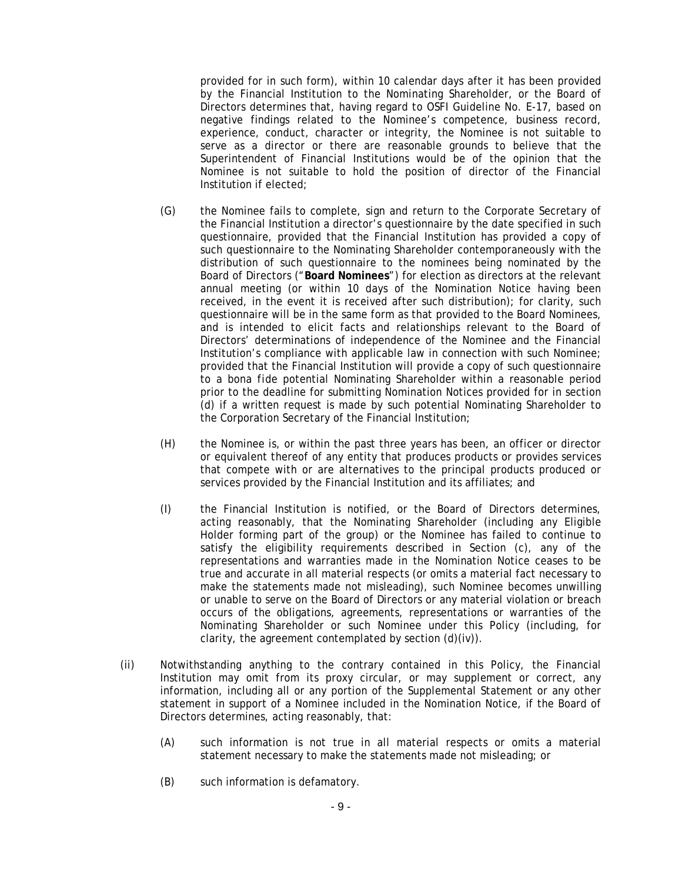provided for in such form), within 10 calendar days after it has been provided by the Financial Institution to the Nominating Shareholder, or the Board of Directors determines that, having regard to OSFI Guideline No. E-17, based on negative findings related to the Nominee's competence, business record, experience, conduct, character or integrity, the Nominee is not suitable to serve as a director or there are reasonable grounds to believe that the Superintendent of Financial Institutions would be of the opinion that the Nominee is not suitable to hold the position of director of the Financial Institution if elected;

- (G) the Nominee fails to complete, sign and return to the Corporate Secretary of the Financial Institution a director's questionnaire by the date specified in such questionnaire, provided that the Financial Institution has provided a copy of such questionnaire to the Nominating Shareholder contemporaneously with the distribution of such questionnaire to the nominees being nominated by the Board of Directors ("**Board Nominees**") for election as directors at the relevant annual meeting (or within 10 days of the Nomination Notice having been received, in the event it is received after such distribution); for clarity, such questionnaire will be in the same form as that provided to the Board Nominees, and is intended to elicit facts and relationships relevant to the Board of Directors' determinations of independence of the Nominee and the Financial Institution's compliance with applicable law in connection with such Nominee; provided that the Financial Institution will provide a copy of such questionnaire to a *bona fide* potential Nominating Shareholder within a reasonable period prior to the deadline for submitting Nomination Notices provided for in section (d) if a written request is made by such potential Nominating Shareholder to the Corporation Secretary of the Financial Institution;
- (H) the Nominee is, or within the past three years has been, an officer or director or equivalent thereof of any entity that produces products or provides services that compete with or are alternatives to the principal products produced or services provided by the Financial Institution and its affiliates; and
- (I) the Financial Institution is notified, or the Board of Directors determines, acting reasonably, that the Nominating Shareholder (including any Eligible Holder forming part of the group) or the Nominee has failed to continue to satisfy the eligibility requirements described in Section (c), any of the representations and warranties made in the Nomination Notice ceases to be true and accurate in all material respects (or omits a material fact necessary to make the statements made not misleading), such Nominee becomes unwilling or unable to serve on the Board of Directors or any material violation or breach occurs of the obligations, agreements, representations or warranties of the Nominating Shareholder or such Nominee under this Policy (including, for clarity, the agreement contemplated by section (d)(iv)).
- (ii) Notwithstanding anything to the contrary contained in this Policy, the Financial Institution may omit from its proxy circular, or may supplement or correct, any information, including all or any portion of the Supplemental Statement or any other statement in support of a Nominee included in the Nomination Notice, if the Board of Directors determines, acting reasonably, that:
	- (A) such information is not true in all material respects or omits a material statement necessary to make the statements made not misleading; or
	- (B) such information is defamatory.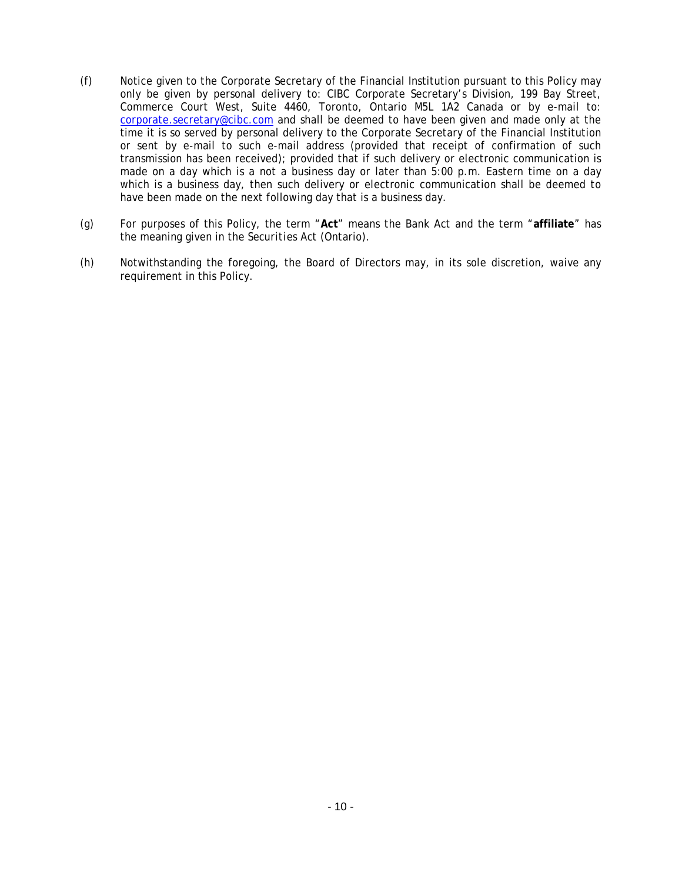- (f) Notice given to the Corporate Secretary of the Financial Institution pursuant to this Policy may only be given by personal delivery to: CIBC Corporate Secretary's Division, 199 Bay Street, Commerce Court West, Suite 4460, Toronto, Ontario M5L 1A2 Canada or by e-mail to: corporate.secretary@cibc.com and shall be deemed to have been given and made only at the time it is so served by personal delivery to the Corporate Secretary of the Financial Institution or sent by e-mail to such e-mail address (provided that receipt of confirmation of such transmission has been received); provided that if such delivery or electronic communication is made on a day which is a not a business day or later than 5:00 p.m. Eastern time on a day which is a business day, then such delivery or electronic communication shall be deemed to have been made on the next following day that is a business day.
- (g) For purposes of this Policy, the term "**Act**" means the *Bank Act* and the term "**affiliate**" has the meaning given in the *Securities Act* (Ontario).
- (h) Notwithstanding the foregoing, the Board of Directors may, in its sole discretion, waive any requirement in this Policy.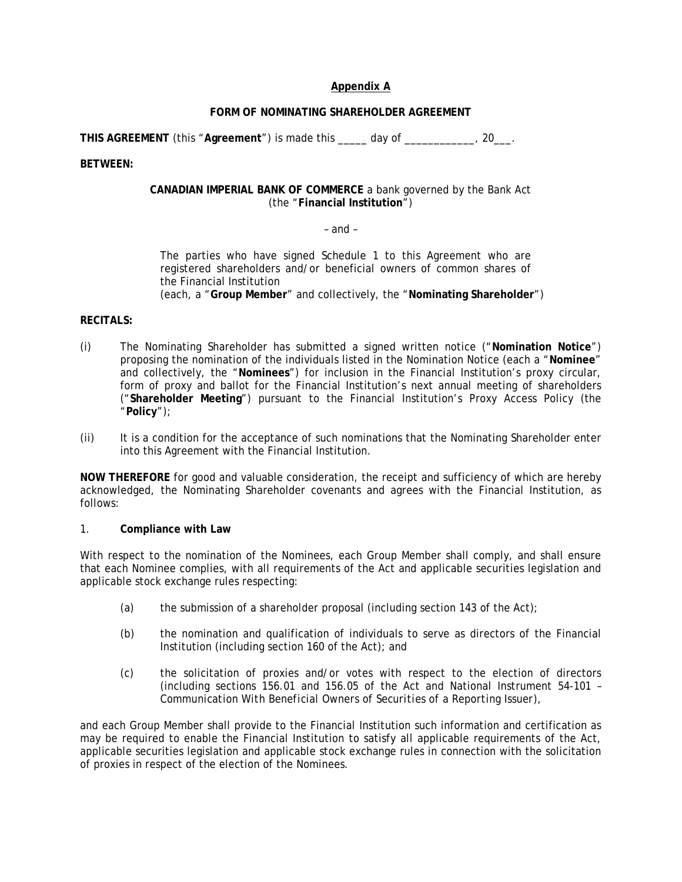### **Appendix A**

### **FORM OF NOMINATING SHAREHOLDER AGREEMENT**

**THIS AGREEMENT** (this "**Agreement**") is made this \_\_\_\_\_ day of \_\_\_\_\_\_\_\_\_\_\_\_, 20\_\_\_.

**BETWEEN:** 

#### **CANADIAN IMPERIAL BANK OF COMMERCE** a bank governed by the *Bank Act* (the "**Financial Institution**")

#### – and –

The parties who have signed Schedule 1 to this Agreement who are registered shareholders and/or beneficial owners of common shares of the Financial Institution (each, a "**Group Member**" and collectively, the "**Nominating Shareholder**")

#### **RECITALS:**

- (i) The Nominating Shareholder has submitted a signed written notice ("**Nomination Notice**") proposing the nomination of the individuals listed in the Nomination Notice (each a "**Nominee**" and collectively, the "**Nominees**") for inclusion in the Financial Institution's proxy circular, form of proxy and ballot for the Financial Institution's next annual meeting of shareholders ("**Shareholder Meeting**") pursuant to the Financial Institution's Proxy Access Policy (the "**Policy**");
- (ii) It is a condition for the acceptance of such nominations that the Nominating Shareholder enter into this Agreement with the Financial Institution.

**NOW THEREFORE** for good and valuable consideration, the receipt and sufficiency of which are hereby acknowledged, the Nominating Shareholder covenants and agrees with the Financial Institution, as follows:

#### 1. **Compliance with Law**

With respect to the nomination of the Nominees, each Group Member shall comply, and shall ensure that each Nominee complies, with all requirements of the Act and applicable securities legislation and applicable stock exchange rules respecting:

- (a) the submission of a shareholder proposal (including section 143 of the Act);
- (b) the nomination and qualification of individuals to serve as directors of the Financial Institution (including section 160 of the Act); and
- (c) the solicitation of proxies and/or votes with respect to the election of directors (including sections 156.01 and 156.05 of the Act and National Instrument 54-101 – *Communication With Beneficial Owners of Securities of a Reporting Issuer*),

and each Group Member shall provide to the Financial Institution such information and certification as may be required to enable the Financial Institution to satisfy all applicable requirements of the Act, applicable securities legislation and applicable stock exchange rules in connection with the solicitation of proxies in respect of the election of the Nominees.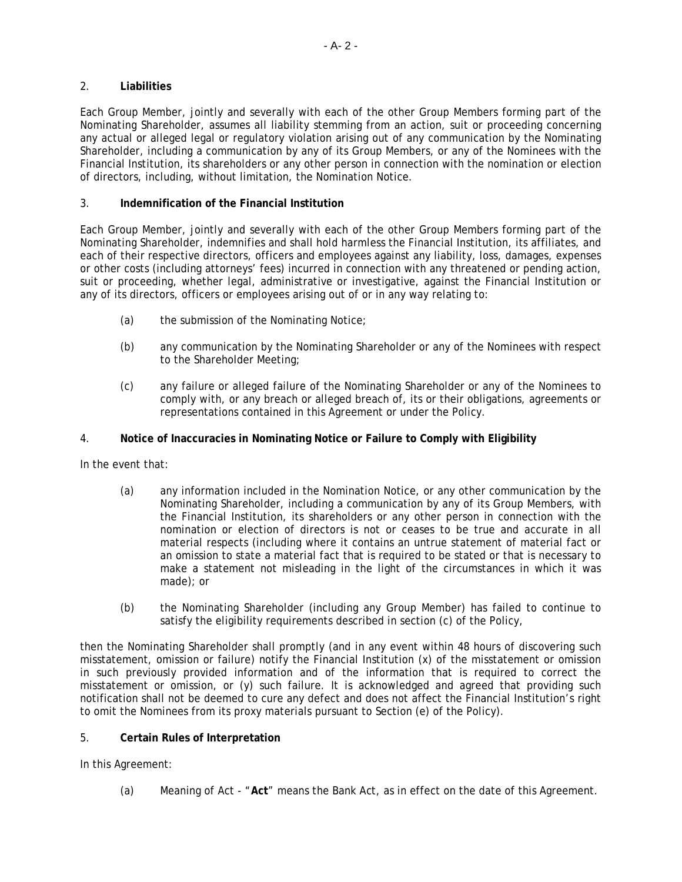### 2. **Liabilities**

Each Group Member, jointly and severally with each of the other Group Members forming part of the Nominating Shareholder, assumes all liability stemming from an action, suit or proceeding concerning any actual or alleged legal or regulatory violation arising out of any communication by the Nominating Shareholder, including a communication by any of its Group Members, or any of the Nominees with the Financial Institution, its shareholders or any other person in connection with the nomination or election of directors, including, without limitation, the Nomination Notice.

### 3. **Indemnification of the Financial Institution**

Each Group Member, jointly and severally with each of the other Group Members forming part of the Nominating Shareholder, indemnifies and shall hold harmless the Financial Institution, its affiliates, and each of their respective directors, officers and employees against any liability, loss, damages, expenses or other costs (including attorneys' fees) incurred in connection with any threatened or pending action, suit or proceeding, whether legal, administrative or investigative, against the Financial Institution or any of its directors, officers or employees arising out of or in any way relating to:

- (a) the submission of the Nominating Notice;
- (b) any communication by the Nominating Shareholder or any of the Nominees with respect to the Shareholder Meeting;
- (c) any failure or alleged failure of the Nominating Shareholder or any of the Nominees to comply with, or any breach or alleged breach of, its or their obligations, agreements or representations contained in this Agreement or under the Policy.

### 4. **Notice of Inaccuracies in Nominating Notice or Failure to Comply with Eligibility**

In the event that:

- (a) any information included in the Nomination Notice, or any other communication by the Nominating Shareholder, including a communication by any of its Group Members, with the Financial Institution, its shareholders or any other person in connection with the nomination or election of directors is not or ceases to be true and accurate in all material respects (including where it contains an untrue statement of material fact or an omission to state a material fact that is required to be stated or that is necessary to make a statement not misleading in the light of the circumstances in which it was made); or
- (b) the Nominating Shareholder (including any Group Member) has failed to continue to satisfy the eligibility requirements described in section (c) of the Policy,

then the Nominating Shareholder shall promptly (and in any event within 48 hours of discovering such misstatement, omission or failure) notify the Financial Institution (x) of the misstatement or omission in such previously provided information and of the information that is required to correct the misstatement or omission, or (y) such failure. It is acknowledged and agreed that providing such notification shall not be deemed to cure any defect and does not affect the Financial Institution's right to omit the Nominees from its proxy materials pursuant to Section (e) of the Policy).

#### 5. **Certain Rules of Interpretation**

In this Agreement:

(a) Meaning of Act - "**Act**" means the *Bank Act*, as in effect on the date of this Agreement.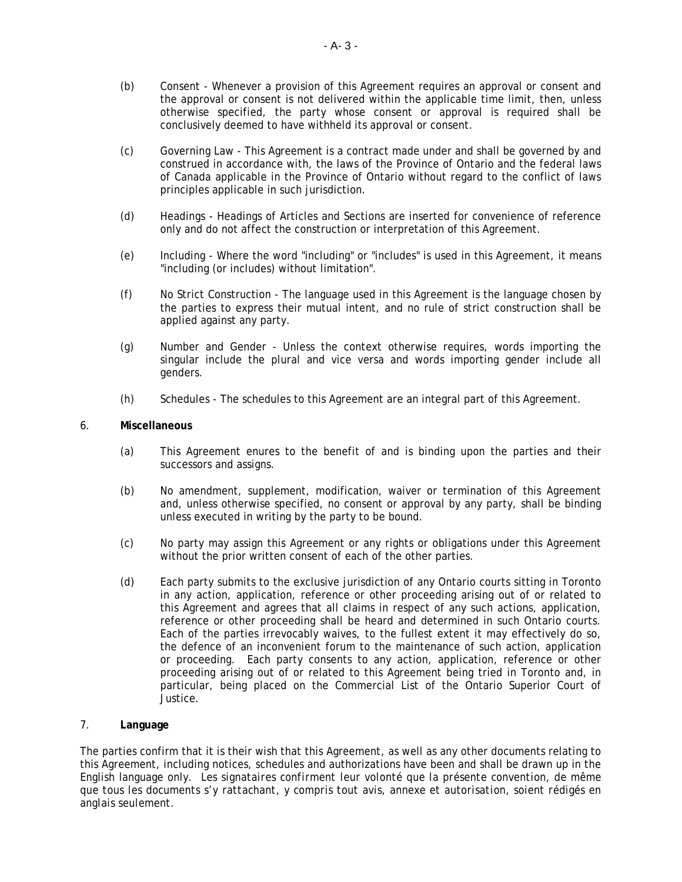- (b) Consent Whenever a provision of this Agreement requires an approval or consent and the approval or consent is not delivered within the applicable time limit, then, unless otherwise specified, the party whose consent or approval is required shall be conclusively deemed to have withheld its approval or consent.
- (c) Governing Law This Agreement is a contract made under and shall be governed by and construed in accordance with, the laws of the Province of Ontario and the federal laws of Canada applicable in the Province of Ontario without regard to the conflict of laws principles applicable in such jurisdiction.
- (d) Headings Headings of Articles and Sections are inserted for convenience of reference only and do not affect the construction or interpretation of this Agreement.
- (e) Including Where the word "including" or "includes" is used in this Agreement, it means "including (or includes) without limitation".
- (f) No Strict Construction The language used in this Agreement is the language chosen by the parties to express their mutual intent, and no rule of strict construction shall be applied against any party.
- (g) Number and Gender Unless the context otherwise requires, words importing the singular include the plural and vice versa and words importing gender include all genders.
- (h) Schedules The schedules to this Agreement are an integral part of this Agreement.

### 6. **Miscellaneous**

- (a) This Agreement enures to the benefit of and is binding upon the parties and their successors and assigns.
- (b) No amendment, supplement, modification, waiver or termination of this Agreement and, unless otherwise specified, no consent or approval by any party, shall be binding unless executed in writing by the party to be bound.
- (c) No party may assign this Agreement or any rights or obligations under this Agreement without the prior written consent of each of the other parties.
- (d) Each party submits to the exclusive jurisdiction of any Ontario courts sitting in Toronto in any action, application, reference or other proceeding arising out of or related to this Agreement and agrees that all claims in respect of any such actions, application, reference or other proceeding shall be heard and determined in such Ontario courts. Each of the parties irrevocably waives, to the fullest extent it may effectively do so, the defence of an inconvenient forum to the maintenance of such action, application or proceeding. Each party consents to any action, application, reference or other proceeding arising out of or related to this Agreement being tried in Toronto and, in particular, being placed on the Commercial List of the Ontario Superior Court of Justice.

#### 7. **Language**

The parties confirm that it is their wish that this Agreement, as well as any other documents relating to this Agreement, including notices, schedules and authorizations have been and shall be drawn up in the English language only. *Les signataires confirment leur volonté que la présente convention, de même que tous les documents s'y rattachant, y compris tout avis, annexe et autorisation, soient rédigés en anglais seulement*.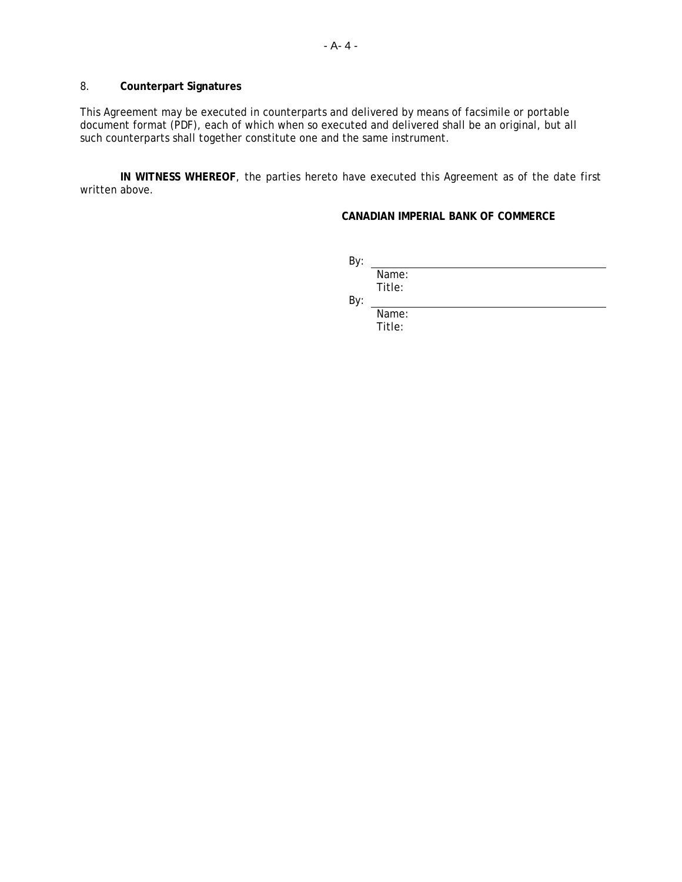### 8. **Counterpart Signatures**

This Agreement may be executed in counterparts and delivered by means of facsimile or portable document format (PDF), each of which when so executed and delivered shall be an original, but all such counterparts shall together constitute one and the same instrument.

**IN WITNESS WHEREOF**, the parties hereto have executed this Agreement as of the date first written above.

## **CANADIAN IMPERIAL BANK OF COMMERCE**

| By: |        |  |  |  |
|-----|--------|--|--|--|
|     | Name:  |  |  |  |
|     | Title: |  |  |  |
| By: |        |  |  |  |
|     | Name:  |  |  |  |

Title: